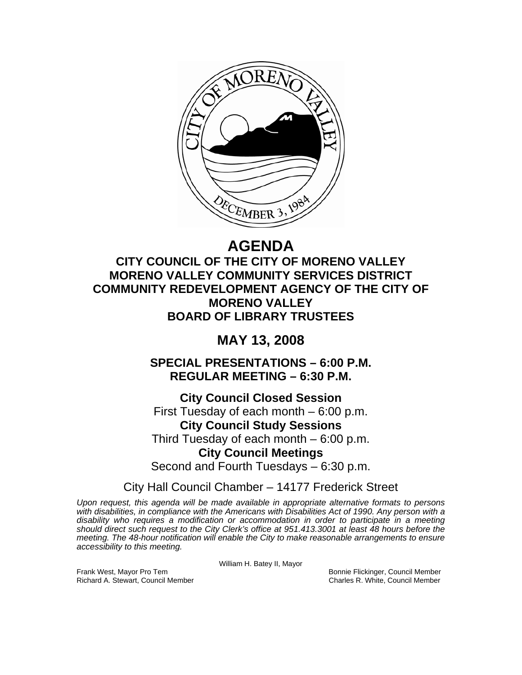

# **AGENDA**

## **CITY COUNCIL OF THE CITY OF MORENO VALLEY MORENO VALLEY COMMUNITY SERVICES DISTRICT COMMUNITY REDEVELOPMENT AGENCY OF THE CITY OF MORENO VALLEY BOARD OF LIBRARY TRUSTEES**

## **MAY 13, 2008**

**SPECIAL PRESENTATIONS – 6:00 P.M. REGULAR MEETING – 6:30 P.M.** 

**City Council Closed Session**  First Tuesday of each month – 6:00 p.m. **City Council Study Sessions**  Third Tuesday of each month – 6:00 p.m. **City Council Meetings**  Second and Fourth Tuesdays – 6:30 p.m.

City Hall Council Chamber – 14177 Frederick Street

*Upon request, this agenda will be made available in appropriate alternative formats to persons with disabilities, in compliance with the Americans with Disabilities Act of 1990. Any person with a disability who requires a modification or accommodation in order to participate in a meeting should direct such request to the City Clerk's office at 951.413.3001 at least 48 hours before the meeting. The 48-hour notification will enable the City to make reasonable arrangements to ensure accessibility to this meeting.* 

William H. Batey II, Mayor

Frank West, Mayor Pro Tem Bonnie Flickinger, Council Member Richard A. Stewart, Council Member Charles R. White, Council Member Charles R. White, Council Member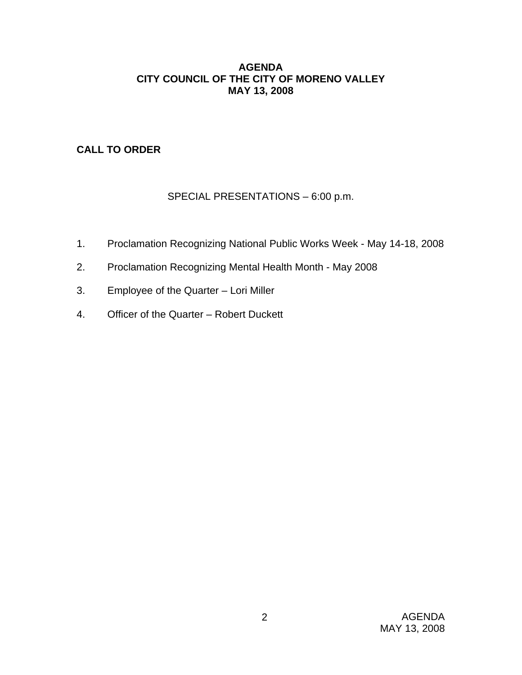## **AGENDA CITY COUNCIL OF THE CITY OF MORENO VALLEY MAY 13, 2008**

## **CALL TO ORDER**

## SPECIAL PRESENTATIONS – 6:00 p.m.

- 1. Proclamation Recognizing National Public Works Week May 14-18, 2008
- 2. Proclamation Recognizing Mental Health Month May 2008
- 3. Employee of the Quarter Lori Miller
- 4. Officer of the Quarter Robert Duckett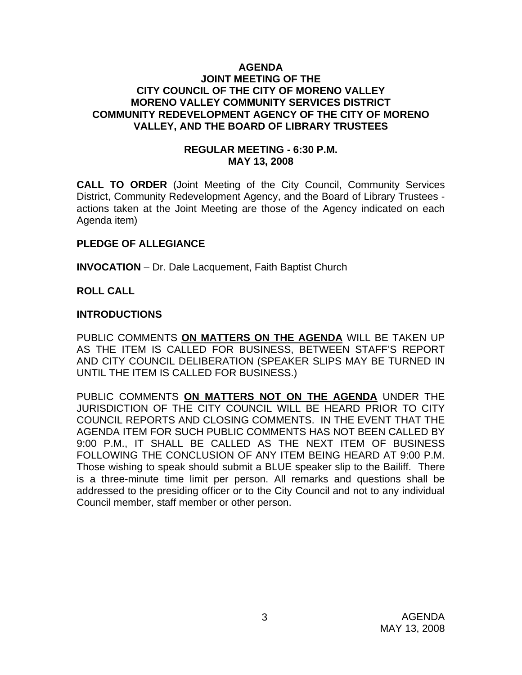#### **AGENDA JOINT MEETING OF THE CITY COUNCIL OF THE CITY OF MORENO VALLEY MORENO VALLEY COMMUNITY SERVICES DISTRICT COMMUNITY REDEVELOPMENT AGENCY OF THE CITY OF MORENO VALLEY, AND THE BOARD OF LIBRARY TRUSTEES**

## **REGULAR MEETING - 6:30 P.M. MAY 13, 2008**

**CALL TO ORDER** (Joint Meeting of the City Council, Community Services District, Community Redevelopment Agency, and the Board of Library Trustees actions taken at the Joint Meeting are those of the Agency indicated on each Agenda item)

## **PLEDGE OF ALLEGIANCE**

**INVOCATION** – Dr. Dale Lacquement, Faith Baptist Church

## **ROLL CALL**

#### **INTRODUCTIONS**

PUBLIC COMMENTS **ON MATTERS ON THE AGENDA** WILL BE TAKEN UP AS THE ITEM IS CALLED FOR BUSINESS, BETWEEN STAFF'S REPORT AND CITY COUNCIL DELIBERATION (SPEAKER SLIPS MAY BE TURNED IN UNTIL THE ITEM IS CALLED FOR BUSINESS.)

PUBLIC COMMENTS **ON MATTERS NOT ON THE AGENDA** UNDER THE JURISDICTION OF THE CITY COUNCIL WILL BE HEARD PRIOR TO CITY COUNCIL REPORTS AND CLOSING COMMENTS. IN THE EVENT THAT THE AGENDA ITEM FOR SUCH PUBLIC COMMENTS HAS NOT BEEN CALLED BY 9:00 P.M., IT SHALL BE CALLED AS THE NEXT ITEM OF BUSINESS FOLLOWING THE CONCLUSION OF ANY ITEM BEING HEARD AT 9:00 P.M. Those wishing to speak should submit a BLUE speaker slip to the Bailiff. There is a three-minute time limit per person. All remarks and questions shall be addressed to the presiding officer or to the City Council and not to any individual Council member, staff member or other person.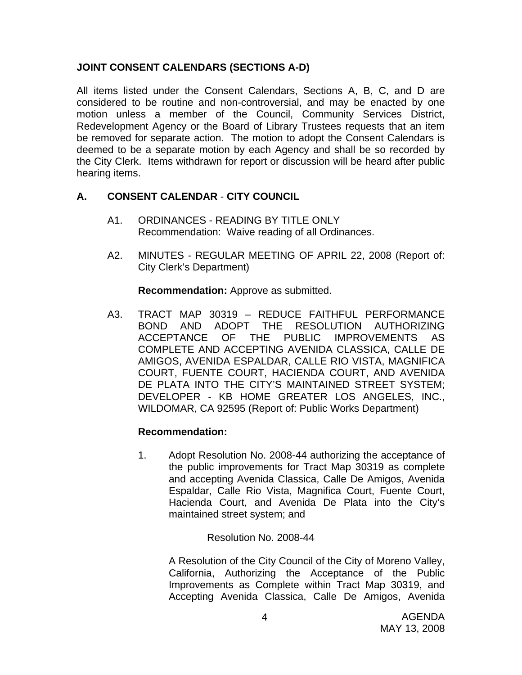## **JOINT CONSENT CALENDARS (SECTIONS A-D)**

All items listed under the Consent Calendars, Sections A, B, C, and D are considered to be routine and non-controversial, and may be enacted by one motion unless a member of the Council, Community Services District, Redevelopment Agency or the Board of Library Trustees requests that an item be removed for separate action. The motion to adopt the Consent Calendars is deemed to be a separate motion by each Agency and shall be so recorded by the City Clerk. Items withdrawn for report or discussion will be heard after public hearing items.

## **A. CONSENT CALENDAR** - **CITY COUNCIL**

- A1. ORDINANCES READING BY TITLE ONLY Recommendation: Waive reading of all Ordinances.
- A2. MINUTES REGULAR MEETING OF APRIL 22, 2008 (Report of: City Clerk's Department)

**Recommendation:** Approve as submitted.

A3. TRACT MAP 30319 – REDUCE FAITHFUL PERFORMANCE BOND AND ADOPT THE RESOLUTION AUTHORIZING ACCEPTANCE OF THE PUBLIC IMPROVEMENTS AS COMPLETE AND ACCEPTING AVENIDA CLASSICA, CALLE DE AMIGOS, AVENIDA ESPALDAR, CALLE RIO VISTA, MAGNIFICA COURT, FUENTE COURT, HACIENDA COURT, AND AVENIDA DE PLATA INTO THE CITY'S MAINTAINED STREET SYSTEM; DEVELOPER - KB HOME GREATER LOS ANGELES, INC., WILDOMAR, CA 92595 (Report of: Public Works Department)

## **Recommendation:**

1. Adopt Resolution No. 2008-44 authorizing the acceptance of the public improvements for Tract Map 30319 as complete and accepting Avenida Classica, Calle De Amigos, Avenida Espaldar, Calle Rio Vista, Magnifica Court, Fuente Court, Hacienda Court, and Avenida De Plata into the City's maintained street system; and

Resolution No. 2008-44

A Resolution of the City Council of the City of Moreno Valley, California, Authorizing the Acceptance of the Public Improvements as Complete within Tract Map 30319, and Accepting Avenida Classica, Calle De Amigos, Avenida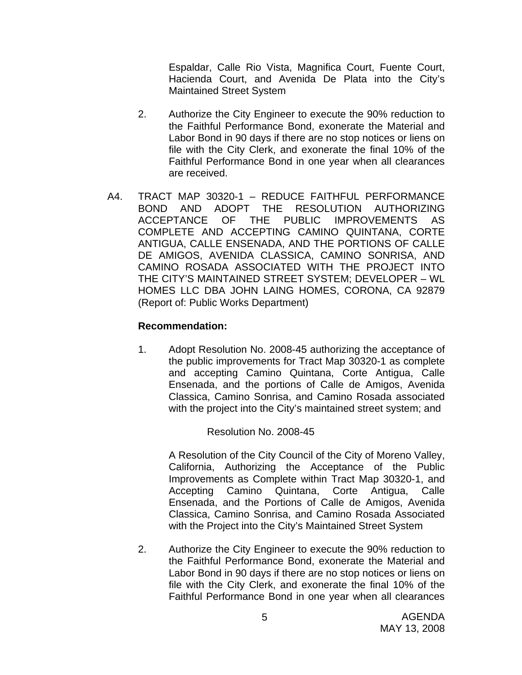Espaldar, Calle Rio Vista, Magnifica Court, Fuente Court, Hacienda Court, and Avenida De Plata into the City's Maintained Street System

- 2. Authorize the City Engineer to execute the 90% reduction to the Faithful Performance Bond, exonerate the Material and Labor Bond in 90 days if there are no stop notices or liens on file with the City Clerk, and exonerate the final 10% of the Faithful Performance Bond in one year when all clearances are received.
- A4. TRACT MAP 30320-1 REDUCE FAITHFUL PERFORMANCE BOND AND ADOPT THE RESOLUTION AUTHORIZING ACCEPTANCE OF THE PUBLIC IMPROVEMENTS AS COMPLETE AND ACCEPTING CAMINO QUINTANA, CORTE ANTIGUA, CALLE ENSENADA, AND THE PORTIONS OF CALLE DE AMIGOS, AVENIDA CLASSICA, CAMINO SONRISA, AND CAMINO ROSADA ASSOCIATED WITH THE PROJECT INTO THE CITY'S MAINTAINED STREET SYSTEM; DEVELOPER – WL HOMES LLC DBA JOHN LAING HOMES, CORONA, CA 92879 (Report of: Public Works Department)

## **Recommendation:**

1. Adopt Resolution No. 2008-45 authorizing the acceptance of the public improvements for Tract Map 30320-1 as complete and accepting Camino Quintana, Corte Antigua, Calle Ensenada, and the portions of Calle de Amigos, Avenida Classica, Camino Sonrisa, and Camino Rosada associated with the project into the City's maintained street system; and

Resolution No. 2008-45

A Resolution of the City Council of the City of Moreno Valley, California, Authorizing the Acceptance of the Public Improvements as Complete within Tract Map 30320-1, and Accepting Camino Quintana, Corte Antigua, Calle Ensenada, and the Portions of Calle de Amigos, Avenida Classica, Camino Sonrisa, and Camino Rosada Associated with the Project into the City's Maintained Street System

2. Authorize the City Engineer to execute the 90% reduction to the Faithful Performance Bond, exonerate the Material and Labor Bond in 90 days if there are no stop notices or liens on file with the City Clerk, and exonerate the final 10% of the Faithful Performance Bond in one year when all clearances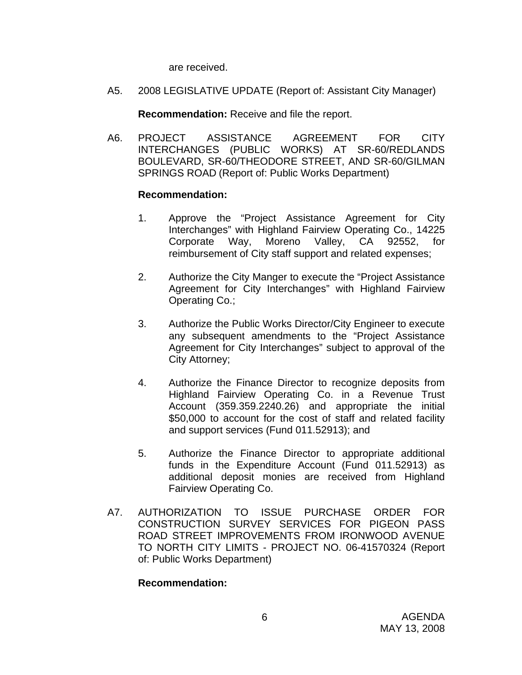are received.

A5. 2008 LEGISLATIVE UPDATE (Report of: Assistant City Manager)

**Recommendation:** Receive and file the report.

A6. PROJECT ASSISTANCE AGREEMENT FOR CITY INTERCHANGES (PUBLIC WORKS) AT SR-60/REDLANDS BOULEVARD, SR-60/THEODORE STREET, AND SR-60/GILMAN SPRINGS ROAD (Report of: Public Works Department)

## **Recommendation:**

- 1. Approve the "Project Assistance Agreement for City Interchanges" with Highland Fairview Operating Co., 14225 Corporate Way, Moreno Valley, CA 92552, for reimbursement of City staff support and related expenses;
- 2. Authorize the City Manger to execute the "Project Assistance Agreement for City Interchanges" with Highland Fairview Operating Co.;
- 3. Authorize the Public Works Director/City Engineer to execute any subsequent amendments to the "Project Assistance Agreement for City Interchanges" subject to approval of the City Attorney;
- 4. Authorize the Finance Director to recognize deposits from Highland Fairview Operating Co. in a Revenue Trust Account (359.359.2240.26) and appropriate the initial \$50,000 to account for the cost of staff and related facility and support services (Fund 011.52913); and
- 5. Authorize the Finance Director to appropriate additional funds in the Expenditure Account (Fund 011.52913) as additional deposit monies are received from Highland Fairview Operating Co.
- A7. AUTHORIZATION TO ISSUE PURCHASE ORDER FOR CONSTRUCTION SURVEY SERVICES FOR PIGEON PASS ROAD STREET IMPROVEMENTS FROM IRONWOOD AVENUE TO NORTH CITY LIMITS - PROJECT NO. 06-41570324 (Report of: Public Works Department)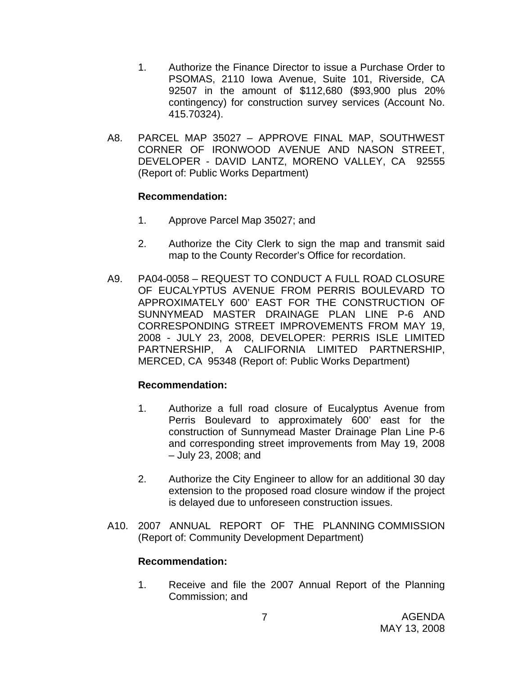- 1. Authorize the Finance Director to issue a Purchase Order to PSOMAS, 2110 Iowa Avenue, Suite 101, Riverside, CA 92507 in the amount of \$112,680 (\$93,900 plus 20% contingency) for construction survey services (Account No. 415.70324).
- A8. PARCEL MAP 35027 APPROVE FINAL MAP, SOUTHWEST CORNER OF IRONWOOD AVENUE AND NASON STREET, DEVELOPER - DAVID LANTZ, MORENO VALLEY, CA 92555 (Report of: Public Works Department)

## **Recommendation:**

- 1. Approve Parcel Map 35027; and
- 2. Authorize the City Clerk to sign the map and transmit said map to the County Recorder's Office for recordation.
- A9. PA04-0058 REQUEST TO CONDUCT A FULL ROAD CLOSURE OF EUCALYPTUS AVENUE FROM PERRIS BOULEVARD TO APPROXIMATELY 600' EAST FOR THE CONSTRUCTION OF SUNNYMEAD MASTER DRAINAGE PLAN LINE P-6 AND CORRESPONDING STREET IMPROVEMENTS FROM MAY 19, 2008 - JULY 23, 2008, DEVELOPER: PERRIS ISLE LIMITED PARTNERSHIP, A CALIFORNIA LIMITED PARTNERSHIP, MERCED, CA 95348 (Report of: Public Works Department)

## **Recommendation:**

- 1. Authorize a full road closure of Eucalyptus Avenue from Perris Boulevard to approximately 600' east for the construction of Sunnymead Master Drainage Plan Line P-6 and corresponding street improvements from May 19, 2008 – July 23, 2008; and
- 2. Authorize the City Engineer to allow for an additional 30 day extension to the proposed road closure window if the project is delayed due to unforeseen construction issues.
- A10. 2007 ANNUAL REPORT OF THE PLANNING COMMISSION (Report of: Community Development Department)

## **Recommendation:**

1. Receive and file the 2007 Annual Report of the Planning Commission; and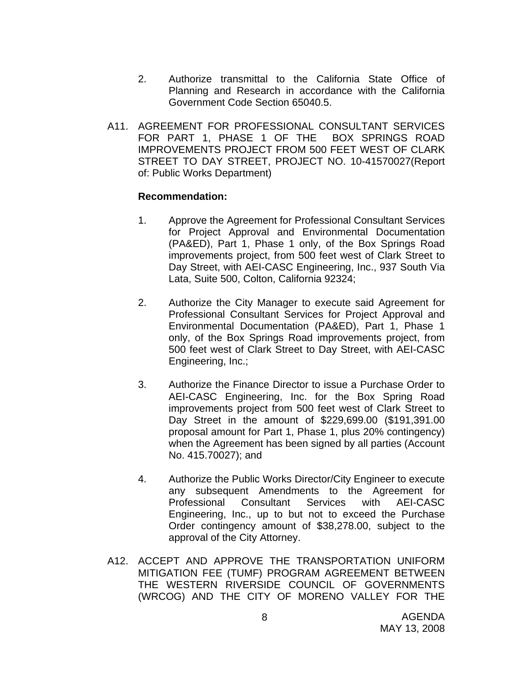- 2. Authorize transmittal to the California State Office of Planning and Research in accordance with the California Government Code Section 65040.5.
- A11. AGREEMENT FOR PROFESSIONAL CONSULTANT SERVICES FOR PART 1, PHASE 1 OF THE BOX SPRINGS ROAD IMPROVEMENTS PROJECT FROM 500 FEET WEST OF CLARK STREET TO DAY STREET, PROJECT NO. 10-41570027(Report of: Public Works Department)

- 1. Approve the Agreement for Professional Consultant Services for Project Approval and Environmental Documentation (PA&ED), Part 1, Phase 1 only, of the Box Springs Road improvements project, from 500 feet west of Clark Street to Day Street, with AEI-CASC Engineering, Inc., 937 South Via Lata, Suite 500, Colton, California 92324;
- 2. Authorize the City Manager to execute said Agreement for Professional Consultant Services for Project Approval and Environmental Documentation (PA&ED), Part 1, Phase 1 only, of the Box Springs Road improvements project, from 500 feet west of Clark Street to Day Street, with AEI-CASC Engineering, Inc.;
- 3. Authorize the Finance Director to issue a Purchase Order to AEI-CASC Engineering, Inc. for the Box Spring Road improvements project from 500 feet west of Clark Street to Day Street in the amount of \$229,699.00 (\$191,391.00 proposal amount for Part 1, Phase 1, plus 20% contingency) when the Agreement has been signed by all parties (Account No. 415.70027); and
- 4. Authorize the Public Works Director/City Engineer to execute any subsequent Amendments to the Agreement for Professional Consultant Services with AEI-CASC Engineering, Inc., up to but not to exceed the Purchase Order contingency amount of \$38,278.00, subject to the approval of the City Attorney.
- A12. ACCEPT AND APPROVE THE TRANSPORTATION UNIFORM MITIGATION FEE (TUMF) PROGRAM AGREEMENT BETWEEN THE WESTERN RIVERSIDE COUNCIL OF GOVERNMENTS (WRCOG) AND THE CITY OF MORENO VALLEY FOR THE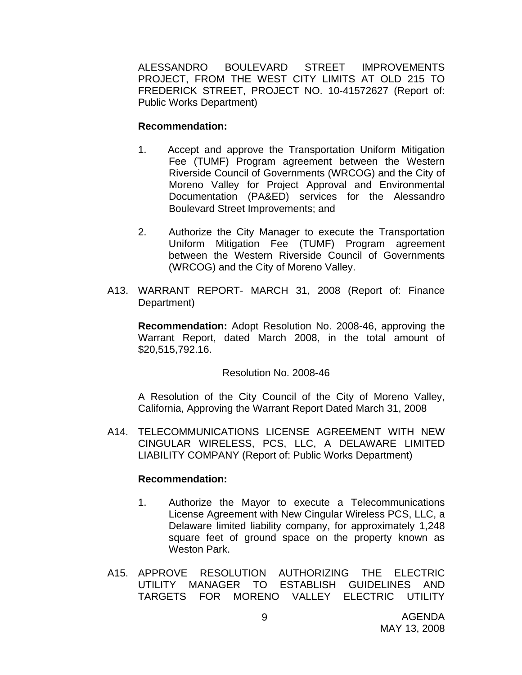ALESSANDRO BOULEVARD STREET IMPROVEMENTS PROJECT, FROM THE WEST CITY LIMITS AT OLD 215 TO FREDERICK STREET, PROJECT NO. 10-41572627 (Report of: Public Works Department)

#### **Recommendation:**

- 1. Accept and approve the Transportation Uniform Mitigation Fee (TUMF) Program agreement between the Western Riverside Council of Governments (WRCOG) and the City of Moreno Valley for Project Approval and Environmental Documentation (PA&ED) services for the Alessandro Boulevard Street Improvements; and
- 2. Authorize the City Manager to execute the Transportation Uniform Mitigation Fee (TUMF) Program agreement between the Western Riverside Council of Governments (WRCOG) and the City of Moreno Valley.
- A13. WARRANT REPORT- MARCH 31, 2008 (Report of: Finance Department)

**Recommendation:** Adopt Resolution No. 2008-46, approving the Warrant Report, dated March 2008, in the total amount of \$20,515,792.16.

## Resolution No. 2008-46

A Resolution of the City Council of the City of Moreno Valley, California, Approving the Warrant Report Dated March 31, 2008

A14. TELECOMMUNICATIONS LICENSE AGREEMENT WITH NEW CINGULAR WIRELESS, PCS, LLC, A DELAWARE LIMITED LIABILITY COMPANY (Report of: Public Works Department)

- 1. Authorize the Mayor to execute a Telecommunications License Agreement with New Cingular Wireless PCS, LLC, a Delaware limited liability company, for approximately 1,248 square feet of ground space on the property known as Weston Park.
- A15. APPROVE RESOLUTION AUTHORIZING THE ELECTRIC UTILITY MANAGER TO ESTABLISH GUIDELINES AND TARGETS FOR MORENO VALLEY ELECTRIC UTILITY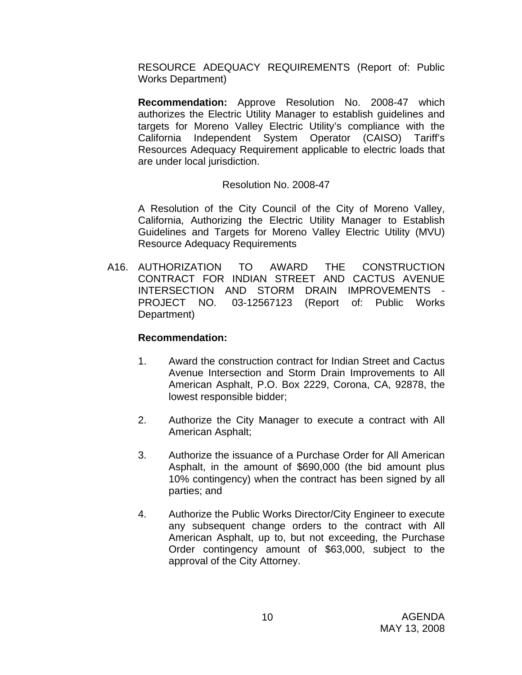RESOURCE ADEQUACY REQUIREMENTS (Report of: Public Works Department)

**Recommendation:** Approve Resolution No. 2008-47 which authorizes the Electric Utility Manager to establish guidelines and targets for Moreno Valley Electric Utility's compliance with the California Independent System Operator (CAISO) Tariff's Resources Adequacy Requirement applicable to electric loads that are under local jurisdiction.

## Resolution No. 2008-47

A Resolution of the City Council of the City of Moreno Valley, California, Authorizing the Electric Utility Manager to Establish Guidelines and Targets for Moreno Valley Electric Utility (MVU) Resource Adequacy Requirements

A16. AUTHORIZATION TO AWARD THE CONSTRUCTION CONTRACT FOR INDIAN STREET AND CACTUS AVENUE INTERSECTION AND STORM DRAIN IMPROVEMENTS - PROJECT NO. 03-12567123 (Report of: Public Works Department)

- 1. Award the construction contract for Indian Street and Cactus Avenue Intersection and Storm Drain Improvements to All American Asphalt, P.O. Box 2229, Corona, CA, 92878, the lowest responsible bidder;
- 2. Authorize the City Manager to execute a contract with All American Asphalt;
- 3. Authorize the issuance of a Purchase Order for All American Asphalt, in the amount of \$690,000 (the bid amount plus 10% contingency) when the contract has been signed by all parties; and
- 4. Authorize the Public Works Director/City Engineer to execute any subsequent change orders to the contract with All American Asphalt, up to, but not exceeding, the Purchase Order contingency amount of \$63,000, subject to the approval of the City Attorney.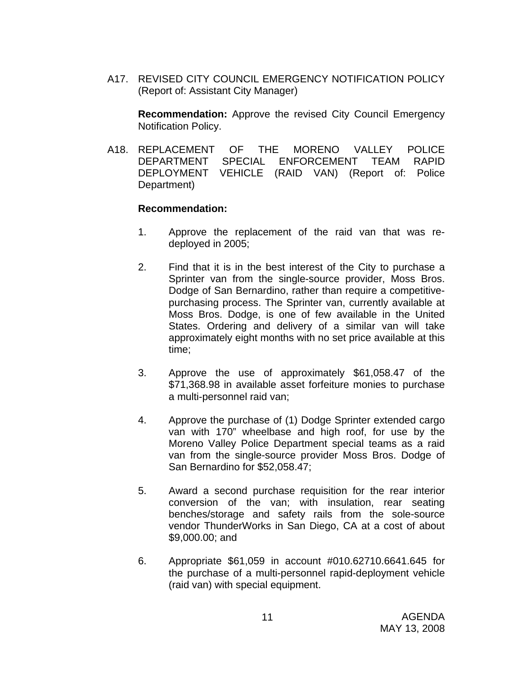A17. REVISED CITY COUNCIL EMERGENCY NOTIFICATION POLICY (Report of: Assistant City Manager)

**Recommendation:** Approve the revised City Council Emergency Notification Policy.

A18. REPLACEMENT OF THE MORENO VALLEY POLICE DEPARTMENT SPECIAL ENFORCEMENT TEAM RAPID DEPLOYMENT VEHICLE (RAID VAN) (Report of: Police Department)

- 1. Approve the replacement of the raid van that was redeployed in 2005;
- 2. Find that it is in the best interest of the City to purchase a Sprinter van from the single-source provider, Moss Bros. Dodge of San Bernardino, rather than require a competitivepurchasing process. The Sprinter van, currently available at Moss Bros. Dodge, is one of few available in the United States. Ordering and delivery of a similar van will take approximately eight months with no set price available at this time;
- 3. Approve the use of approximately \$61,058.47 of the \$71,368.98 in available asset forfeiture monies to purchase a multi-personnel raid van;
- 4. Approve the purchase of (1) Dodge Sprinter extended cargo van with 170" wheelbase and high roof, for use by the Moreno Valley Police Department special teams as a raid van from the single-source provider Moss Bros. Dodge of San Bernardino for \$52,058.47;
- 5. Award a second purchase requisition for the rear interior conversion of the van; with insulation, rear seating benches/storage and safety rails from the sole-source vendor ThunderWorks in San Diego, CA at a cost of about \$9,000.00; and
- 6. Appropriate \$61,059 in account #010.62710.6641.645 for the purchase of a multi-personnel rapid-deployment vehicle (raid van) with special equipment.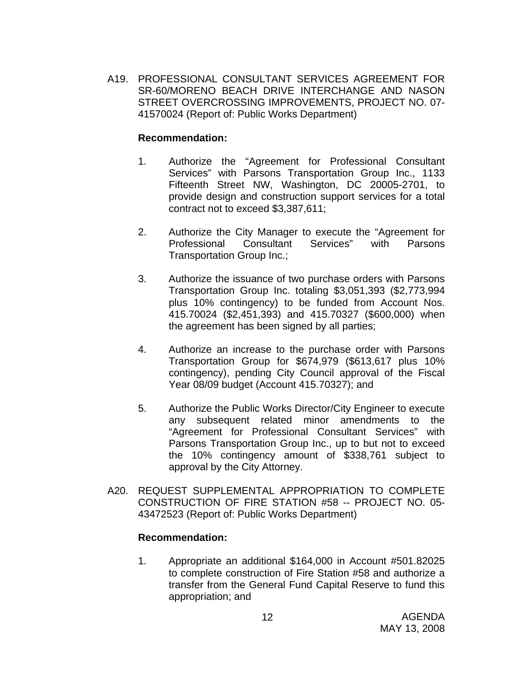A19. PROFESSIONAL CONSULTANT SERVICES AGREEMENT FOR SR-60/MORENO BEACH DRIVE INTERCHANGE AND NASON STREET OVERCROSSING IMPROVEMENTS, PROJECT NO. 07- 41570024 (Report of: Public Works Department)

## **Recommendation:**

- 1. Authorize the "Agreement for Professional Consultant Services" with Parsons Transportation Group Inc., 1133 Fifteenth Street NW, Washington, DC 20005-2701, to provide design and construction support services for a total contract not to exceed \$3,387,611;
- 2. Authorize the City Manager to execute the "Agreement for Professional Consultant Services" with Parsons Transportation Group Inc.;
- 3. Authorize the issuance of two purchase orders with Parsons Transportation Group Inc. totaling \$3,051,393 (\$2,773,994 plus 10% contingency) to be funded from Account Nos. 415.70024 (\$2,451,393) and 415.70327 (\$600,000) when the agreement has been signed by all parties;
- 4. Authorize an increase to the purchase order with Parsons Transportation Group for \$674,979 (\$613,617 plus 10% contingency), pending City Council approval of the Fiscal Year 08/09 budget (Account 415.70327); and
- 5. Authorize the Public Works Director/City Engineer to execute any subsequent related minor amendments to the "Agreement for Professional Consultant Services" with Parsons Transportation Group Inc., up to but not to exceed the 10% contingency amount of \$338,761 subject to approval by the City Attorney.
- A20. REQUEST SUPPLEMENTAL APPROPRIATION TO COMPLETE CONSTRUCTION OF FIRE STATION #58 -- PROJECT NO. 05- 43472523 (Report of: Public Works Department)

## **Recommendation:**

1. Appropriate an additional \$164,000 in Account #501.82025 to complete construction of Fire Station #58 and authorize a transfer from the General Fund Capital Reserve to fund this appropriation; and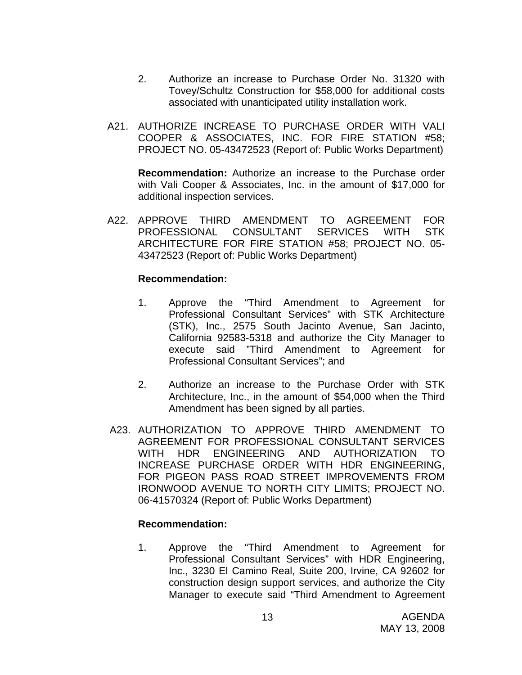- 2. Authorize an increase to Purchase Order No. 31320 with Tovey/Schultz Construction for \$58,000 for additional costs associated with unanticipated utility installation work.
- A21. AUTHORIZE INCREASE TO PURCHASE ORDER WITH VALI COOPER & ASSOCIATES, INC. FOR FIRE STATION #58; PROJECT NO. 05-43472523 (Report of: Public Works Department)

**Recommendation:** Authorize an increase to the Purchase order with Vali Cooper & Associates, Inc. in the amount of \$17,000 for additional inspection services.

A22. APPROVE THIRD AMENDMENT TO AGREEMENT FOR PROFESSIONAL CONSULTANT SERVICES WITH STK ARCHITECTURE FOR FIRE STATION #58; PROJECT NO. 05- 43472523 (Report of: Public Works Department)

## **Recommendation:**

- 1. Approve the "Third Amendment to Agreement for Professional Consultant Services" with STK Architecture (STK), Inc., 2575 South Jacinto Avenue, San Jacinto, California 92583-5318 and authorize the City Manager to execute said "Third Amendment to Agreement for Professional Consultant Services"; and
- 2. Authorize an increase to the Purchase Order with STK Architecture, Inc., in the amount of \$54,000 when the Third Amendment has been signed by all parties.
- A23. AUTHORIZATION TO APPROVE THIRD AMENDMENT TO AGREEMENT FOR PROFESSIONAL CONSULTANT SERVICES WITH HDR ENGINEERING AND AUTHORIZATION TO INCREASE PURCHASE ORDER WITH HDR ENGINEERING, FOR PIGEON PASS ROAD STREET IMPROVEMENTS FROM IRONWOOD AVENUE TO NORTH CITY LIMITS; PROJECT NO. 06-41570324 (Report of: Public Works Department)

## **Recommendation:**

1. Approve the "Third Amendment to Agreement for Professional Consultant Services" with HDR Engineering, Inc., 3230 El Camino Real, Suite 200, Irvine, CA 92602 for construction design support services, and authorize the City Manager to execute said "Third Amendment to Agreement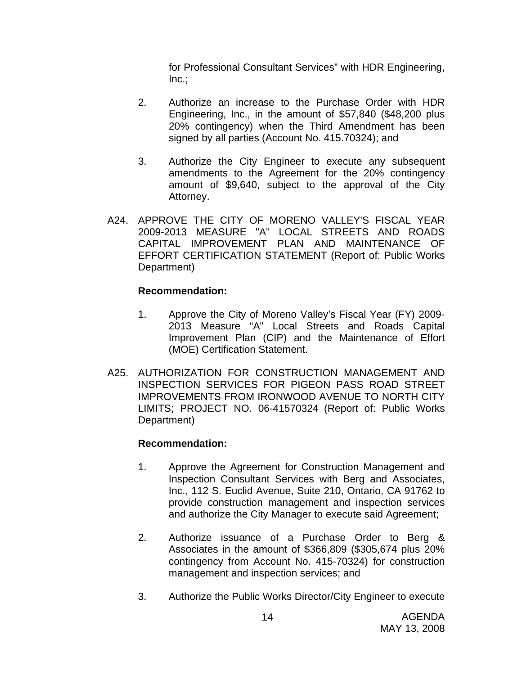for Professional Consultant Services" with HDR Engineering,  $Inc.:$ 

- 2. Authorize an increase to the Purchase Order with HDR Engineering, Inc., in the amount of \$57,840 (\$48,200 plus 20% contingency) when the Third Amendment has been signed by all parties (Account No. 415.70324); and
- 3. Authorize the City Engineer to execute any subsequent amendments to the Agreement for the 20% contingency amount of \$9,640, subject to the approval of the City Attorney.
- A24. APPROVE THE CITY OF MORENO VALLEY'S FISCAL YEAR 2009-2013 MEASURE "A" LOCAL STREETS AND ROADS CAPITAL IMPROVEMENT PLAN AND MAINTENANCE OF EFFORT CERTIFICATION STATEMENT (Report of: Public Works Department)

## **Recommendation:**

- 1. Approve the City of Moreno Valley's Fiscal Year (FY) 2009- 2013 Measure "A" Local Streets and Roads Capital Improvement Plan (CIP) and the Maintenance of Effort (MOE) Certification Statement.
- A25. AUTHORIZATION FOR CONSTRUCTION MANAGEMENT AND INSPECTION SERVICES FOR PIGEON PASS ROAD STREET IMPROVEMENTS FROM IRONWOOD AVENUE TO NORTH CITY LIMITS; PROJECT NO. 06-41570324 (Report of: Public Works Department)

- 1. Approve the Agreement for Construction Management and Inspection Consultant Services with Berg and Associates, Inc., 112 S. Euclid Avenue, Suite 210, Ontario, CA 91762 to provide construction management and inspection services and authorize the City Manager to execute said Agreement;
- 2. Authorize issuance of a Purchase Order to Berg & Associates in the amount of \$366,809 (\$305,674 plus 20% contingency from Account No. 415-70324) for construction management and inspection services; and
- 3. Authorize the Public Works Director/City Engineer to execute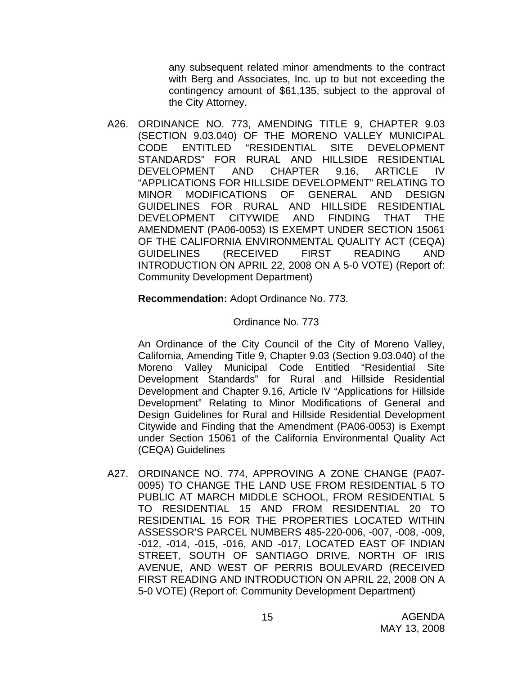any subsequent related minor amendments to the contract with Berg and Associates, Inc. up to but not exceeding the contingency amount of \$61,135, subject to the approval of the City Attorney.

A26. ORDINANCE NO. 773, AMENDING TITLE 9, CHAPTER 9.03 (SECTION 9.03.040) OF THE MORENO VALLEY MUNICIPAL CODE ENTITLED "RESIDENTIAL SITE DEVELOPMENT STANDARDS" FOR RURAL AND HILLSIDE RESIDENTIAL DEVELOPMENT AND CHAPTER 9.16, ARTICLE IV "APPLICATIONS FOR HILLSIDE DEVELOPMENT" RELATING TO MINOR MODIFICATIONS OF GENERAL AND DESIGN GUIDELINES FOR RURAL AND HILLSIDE RESIDENTIAL DEVELOPMENT CITYWIDE AND FINDING THAT THE AMENDMENT (PA06-0053) IS EXEMPT UNDER SECTION 15061 OF THE CALIFORNIA ENVIRONMENTAL QUALITY ACT (CEQA) GUIDELINES (RECEIVED FIRST READING AND INTRODUCTION ON APRIL 22, 2008 ON A 5-0 VOTE) (Report of: Community Development Department)

## **Recommendation:** Adopt Ordinance No. 773.

## Ordinance No. 773

An Ordinance of the City Council of the City of Moreno Valley, California, Amending Title 9, Chapter 9.03 (Section 9.03.040) of the Moreno Valley Municipal Code Entitled "Residential Site Development Standards" for Rural and Hillside Residential Development and Chapter 9.16, Article IV "Applications for Hillside Development" Relating to Minor Modifications of General and Design Guidelines for Rural and Hillside Residential Development Citywide and Finding that the Amendment (PA06-0053) is Exempt under Section 15061 of the California Environmental Quality Act (CEQA) Guidelines

A27. ORDINANCE NO. 774, APPROVING A ZONE CHANGE (PA07- 0095) TO CHANGE THE LAND USE FROM RESIDENTIAL 5 TO PUBLIC AT MARCH MIDDLE SCHOOL, FROM RESIDENTIAL 5 TO RESIDENTIAL 15 AND FROM RESIDENTIAL 20 TO RESIDENTIAL 15 FOR THE PROPERTIES LOCATED WITHIN ASSESSOR'S PARCEL NUMBERS 485-220-006, -007, -008, -009, -012, -014, -015, -016, AND -017, LOCATED EAST OF INDIAN STREET, SOUTH OF SANTIAGO DRIVE, NORTH OF IRIS AVENUE, AND WEST OF PERRIS BOULEVARD (RECEIVED FIRST READING AND INTRODUCTION ON APRIL 22, 2008 ON A 5-0 VOTE) (Report of: Community Development Department)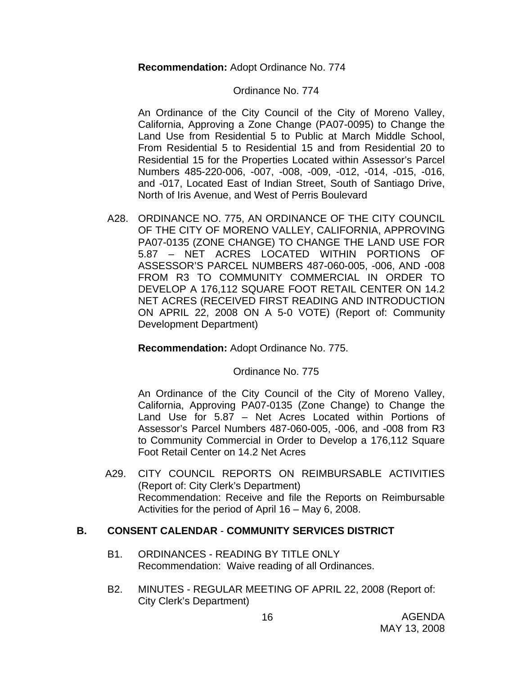**Recommendation:** Adopt Ordinance No. 774

#### Ordinance No. 774

An Ordinance of the City Council of the City of Moreno Valley, California, Approving a Zone Change (PA07-0095) to Change the Land Use from Residential 5 to Public at March Middle School, From Residential 5 to Residential 15 and from Residential 20 to Residential 15 for the Properties Located within Assessor's Parcel Numbers 485-220-006, -007, -008, -009, -012, -014, -015, -016, and -017, Located East of Indian Street, South of Santiago Drive, North of Iris Avenue, and West of Perris Boulevard

A28. ORDINANCE NO. 775, AN ORDINANCE OF THE CITY COUNCIL OF THE CITY OF MORENO VALLEY, CALIFORNIA, APPROVING PA07-0135 (ZONE CHANGE) TO CHANGE THE LAND USE FOR 5.87 – NET ACRES LOCATED WITHIN PORTIONS OF ASSESSOR'S PARCEL NUMBERS 487-060-005, -006, AND -008 FROM R3 TO COMMUNITY COMMERCIAL IN ORDER TO DEVELOP A 176,112 SQUARE FOOT RETAIL CENTER ON 14.2 NET ACRES (RECEIVED FIRST READING AND INTRODUCTION ON APRIL 22, 2008 ON A 5-0 VOTE) (Report of: Community Development Department)

#### **Recommendation:** Adopt Ordinance No. 775.

## Ordinance No. 775

An Ordinance of the City Council of the City of Moreno Valley, California, Approving PA07-0135 (Zone Change) to Change the Land Use for 5.87 – Net Acres Located within Portions of Assessor's Parcel Numbers 487-060-005, -006, and -008 from R3 to Community Commercial in Order to Develop a 176,112 Square Foot Retail Center on 14.2 Net Acres

 A29. CITY COUNCIL REPORTS ON REIMBURSABLE ACTIVITIES (Report of: City Clerk's Department) Recommendation: Receive and file the Reports on Reimbursable Activities for the period of April 16 – May 6, 2008.

## **B. CONSENT CALENDAR** - **COMMUNITY SERVICES DISTRICT**

- B1. ORDINANCES READING BY TITLE ONLY Recommendation: Waive reading of all Ordinances.
- B2. MINUTES REGULAR MEETING OF APRIL 22, 2008 (Report of: City Clerk's Department)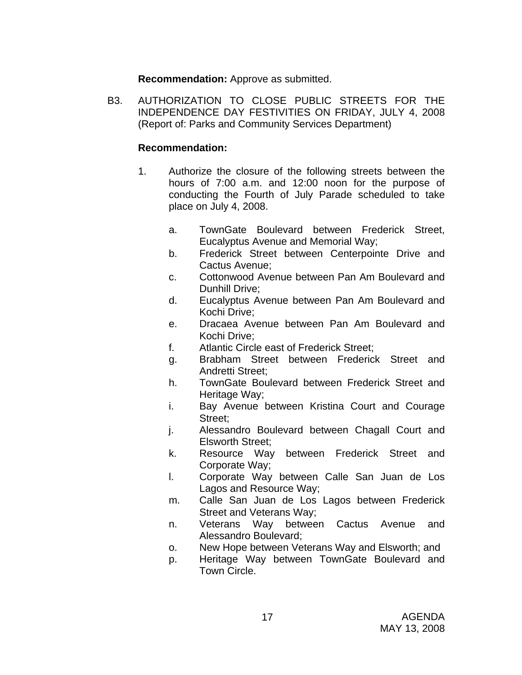**Recommendation:** Approve as submitted.

B3. AUTHORIZATION TO CLOSE PUBLIC STREETS FOR THE INDEPENDENCE DAY FESTIVITIES ON FRIDAY, JULY 4, 2008 (Report of: Parks and Community Services Department)

- 1. Authorize the closure of the following streets between the hours of 7:00 a.m. and 12:00 noon for the purpose of conducting the Fourth of July Parade scheduled to take place on July 4, 2008.
	- a. TownGate Boulevard between Frederick Street, Eucalyptus Avenue and Memorial Way;
	- b. Frederick Street between Centerpointe Drive and Cactus Avenue;
	- c. Cottonwood Avenue between Pan Am Boulevard and Dunhill Drive;
	- d. Eucalyptus Avenue between Pan Am Boulevard and Kochi Drive;
	- e. Dracaea Avenue between Pan Am Boulevard and Kochi Drive;
	- f. Atlantic Circle east of Frederick Street;
	- g. Brabham Street between Frederick Street and Andretti Street;
	- h. TownGate Boulevard between Frederick Street and Heritage Way;
	- i. Bay Avenue between Kristina Court and Courage Street;
	- j. Alessandro Boulevard between Chagall Court and Elsworth Street;
	- k. Resource Way between Frederick Street and Corporate Way;
	- l. Corporate Way between Calle San Juan de Los Lagos and Resource Way;
	- m. Calle San Juan de Los Lagos between Frederick Street and Veterans Way;
	- n. Veterans Way between Cactus Avenue and Alessandro Boulevard;
	- o. New Hope between Veterans Way and Elsworth; and
	- p. Heritage Way between TownGate Boulevard and Town Circle.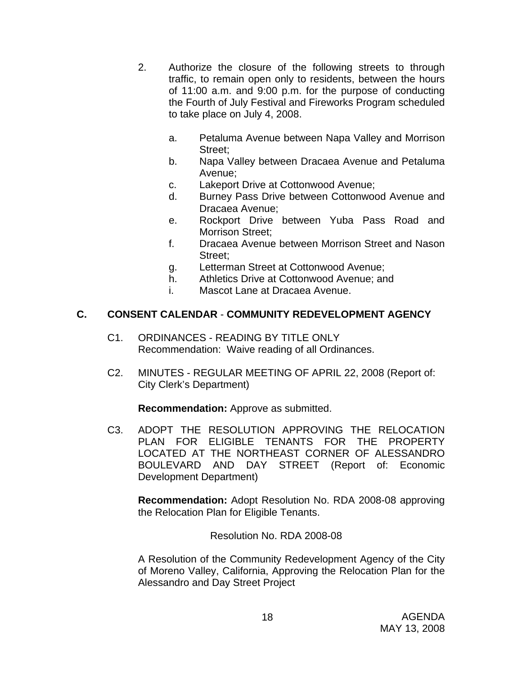- 2. Authorize the closure of the following streets to through traffic, to remain open only to residents, between the hours of 11:00 a.m. and 9:00 p.m. for the purpose of conducting the Fourth of July Festival and Fireworks Program scheduled to take place on July 4, 2008.
	- a. Petaluma Avenue between Napa Valley and Morrison Street;
	- b. Napa Valley between Dracaea Avenue and Petaluma Avenue;
	- c. Lakeport Drive at Cottonwood Avenue;
	- d. Burney Pass Drive between Cottonwood Avenue and Dracaea Avenue;
	- e. Rockport Drive between Yuba Pass Road and Morrison Street:
	- f. Dracaea Avenue between Morrison Street and Nason Street;
	- g. Letterman Street at Cottonwood Avenue;
	- h. Athletics Drive at Cottonwood Avenue; and
	- i. Mascot Lane at Dracaea Avenue.

## **C. CONSENT CALENDAR** - **COMMUNITY REDEVELOPMENT AGENCY**

- C1. ORDINANCES READING BY TITLE ONLY Recommendation: Waive reading of all Ordinances.
- C2. MINUTES REGULAR MEETING OF APRIL 22, 2008 (Report of: City Clerk's Department)

**Recommendation:** Approve as submitted.

C3. ADOPT THE RESOLUTION APPROVING THE RELOCATION PLAN FOR ELIGIBLE TENANTS FOR THE PROPERTY LOCATED AT THE NORTHEAST CORNER OF ALESSANDRO BOULEVARD AND DAY STREET (Report of: Economic Development Department)

**Recommendation:** Adopt Resolution No. RDA 2008-08 approving the Relocation Plan for Eligible Tenants.

Resolution No. RDA 2008-08

A Resolution of the Community Redevelopment Agency of the City of Moreno Valley, California, Approving the Relocation Plan for the Alessandro and Day Street Project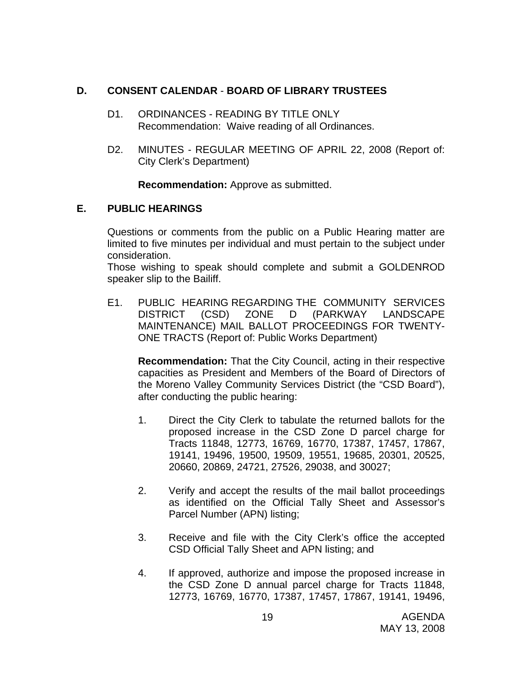## **D. CONSENT CALENDAR** - **BOARD OF LIBRARY TRUSTEES**

- D1. ORDINANCES READING BY TITLE ONLY Recommendation: Waive reading of all Ordinances.
- D2. MINUTES REGULAR MEETING OF APRIL 22, 2008 (Report of: City Clerk's Department)

**Recommendation:** Approve as submitted.

## **E. PUBLIC HEARINGS**

Questions or comments from the public on a Public Hearing matter are limited to five minutes per individual and must pertain to the subject under consideration.

 Those wishing to speak should complete and submit a GOLDENROD speaker slip to the Bailiff.

E1. PUBLIC HEARING REGARDING THE COMMUNITY SERVICES DISTRICT (CSD) ZONE D (PARKWAY LANDSCAPE MAINTENANCE) MAIL BALLOT PROCEEDINGS FOR TWENTY-ONE TRACTS (Report of: Public Works Department)

 **Recommendation:** That the City Council, acting in their respective capacities as President and Members of the Board of Directors of the Moreno Valley Community Services District (the "CSD Board"), after conducting the public hearing:

- 1. Direct the City Clerk to tabulate the returned ballots for the proposed increase in the CSD Zone D parcel charge for Tracts 11848, 12773, 16769, 16770, 17387, 17457, 17867, 19141, 19496, 19500, 19509, 19551, 19685, 20301, 20525, 20660, 20869, 24721, 27526, 29038, and 30027;
- 2. Verify and accept the results of the mail ballot proceedings as identified on the Official Tally Sheet and Assessor's Parcel Number (APN) listing;
- 3. Receive and file with the City Clerk's office the accepted CSD Official Tally Sheet and APN listing; and
- 4. If approved, authorize and impose the proposed increase in the CSD Zone D annual parcel charge for Tracts 11848, 12773, 16769, 16770, 17387, 17457, 17867, 19141, 19496,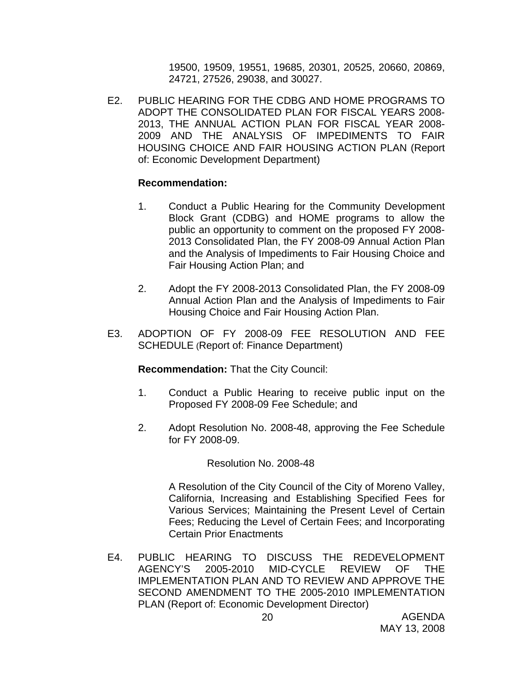19500, 19509, 19551, 19685, 20301, 20525, 20660, 20869, 24721, 27526, 29038, and 30027.

E2. PUBLIC HEARING FOR THE CDBG AND HOME PROGRAMS TO ADOPT THE CONSOLIDATED PLAN FOR FISCAL YEARS 2008- 2013, THE ANNUAL ACTION PLAN FOR FISCAL YEAR 2008- 2009 AND THE ANALYSIS OF IMPEDIMENTS TO FAIR HOUSING CHOICE AND FAIR HOUSING ACTION PLAN (Report of: Economic Development Department)

## **Recommendation:**

- 1. Conduct a Public Hearing for the Community Development Block Grant (CDBG) and HOME programs to allow the public an opportunity to comment on the proposed FY 2008- 2013 Consolidated Plan, the FY 2008-09 Annual Action Plan and the Analysis of Impediments to Fair Housing Choice and Fair Housing Action Plan; and
- 2. Adopt the FY 2008-2013 Consolidated Plan, the FY 2008-09 Annual Action Plan and the Analysis of Impediments to Fair Housing Choice and Fair Housing Action Plan.
- E3. ADOPTION OF FY 2008-09 FEE RESOLUTION AND FEE SCHEDULE (Report of: Finance Department)

**Recommendation:** That the City Council:

- 1. Conduct a Public Hearing to receive public input on the Proposed FY 2008-09 Fee Schedule; and
- 2. Adopt Resolution No. 2008-48, approving the Fee Schedule for FY 2008-09.

Resolution No. 2008-48

A Resolution of the City Council of the City of Moreno Valley, California, Increasing and Establishing Specified Fees for Various Services; Maintaining the Present Level of Certain Fees; Reducing the Level of Certain Fees; and Incorporating Certain Prior Enactments

E4. PUBLIC HEARING TO DISCUSS THE REDEVELOPMENT AGENCY'S 2005-2010 MID-CYCLE REVIEW OF THE IMPLEMENTATION PLAN AND TO REVIEW AND APPROVE THE SECOND AMENDMENT TO THE 2005-2010 IMPLEMENTATION PLAN (Report of: Economic Development Director)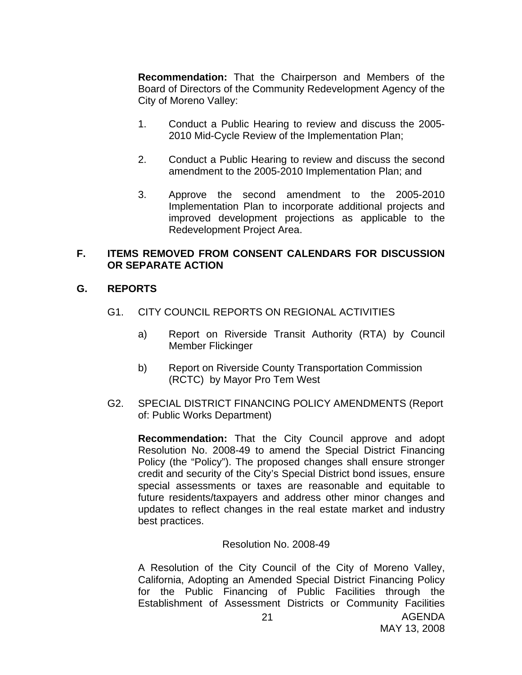**Recommendation:** That the Chairperson and Members of the Board of Directors of the Community Redevelopment Agency of the City of Moreno Valley:

- 1. Conduct a Public Hearing to review and discuss the 2005- 2010 Mid-Cycle Review of the Implementation Plan;
- 2. Conduct a Public Hearing to review and discuss the second amendment to the 2005-2010 Implementation Plan; and
- 3. Approve the second amendment to the 2005-2010 Implementation Plan to incorporate additional projects and improved development projections as applicable to the Redevelopment Project Area.

## **F. ITEMS REMOVED FROM CONSENT CALENDARS FOR DISCUSSION OR SEPARATE ACTION**

## **G. REPORTS**

- G1. CITY COUNCIL REPORTS ON REGIONAL ACTIVITIES
	- a) Report on Riverside Transit Authority (RTA) by Council Member Flickinger
	- b) Report on Riverside County Transportation Commission (RCTC) by Mayor Pro Tem West
- G2. SPECIAL DISTRICT FINANCING POLICY AMENDMENTS (Report of: Public Works Department)

**Recommendation:** That the City Council approve and adopt Resolution No. 2008-49 to amend the Special District Financing Policy (the "Policy"). The proposed changes shall ensure stronger credit and security of the City's Special District bond issues, ensure special assessments or taxes are reasonable and equitable to future residents/taxpayers and address other minor changes and updates to reflect changes in the real estate market and industry best practices.

## Resolution No. 2008-49

A Resolution of the City Council of the City of Moreno Valley, California, Adopting an Amended Special District Financing Policy for the Public Financing of Public Facilities through the Establishment of Assessment Districts or Community Facilities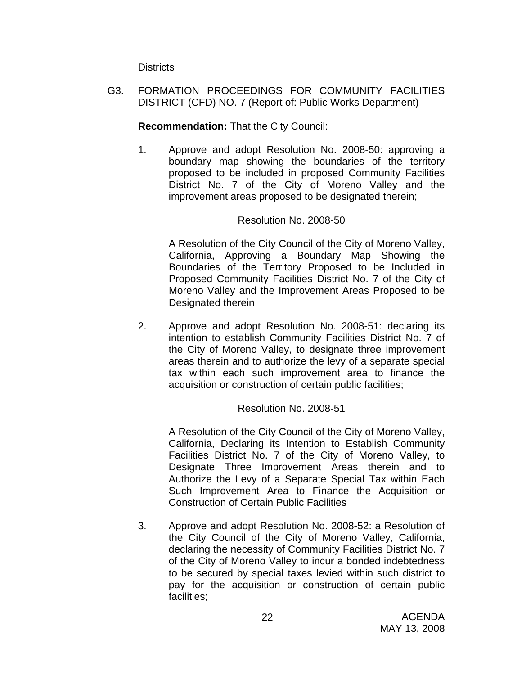**Districts** 

G3. FORMATION PROCEEDINGS FOR COMMUNITY FACILITIES DISTRICT (CFD) NO. 7 (Report of: Public Works Department)

## **Recommendation:** That the City Council:

1. Approve and adopt Resolution No. 2008-50: approving a boundary map showing the boundaries of the territory proposed to be included in proposed Community Facilities District No. 7 of the City of Moreno Valley and the improvement areas proposed to be designated therein;

## Resolution No. 2008-50

A Resolution of the City Council of the City of Moreno Valley, California, Approving a Boundary Map Showing the Boundaries of the Territory Proposed to be Included in Proposed Community Facilities District No. 7 of the City of Moreno Valley and the Improvement Areas Proposed to be Designated therein

2. Approve and adopt Resolution No. 2008-51: declaring its intention to establish Community Facilities District No. 7 of the City of Moreno Valley, to designate three improvement areas therein and to authorize the levy of a separate special tax within each such improvement area to finance the acquisition or construction of certain public facilities;

## Resolution No. 2008-51

A Resolution of the City Council of the City of Moreno Valley, California, Declaring its Intention to Establish Community Facilities District No. 7 of the City of Moreno Valley, to Designate Three Improvement Areas therein and to Authorize the Levy of a Separate Special Tax within Each Such Improvement Area to Finance the Acquisition or Construction of Certain Public Facilities

3. Approve and adopt Resolution No. 2008-52: a Resolution of the City Council of the City of Moreno Valley, California, declaring the necessity of Community Facilities District No. 7 of the City of Moreno Valley to incur a bonded indebtedness to be secured by special taxes levied within such district to pay for the acquisition or construction of certain public facilities;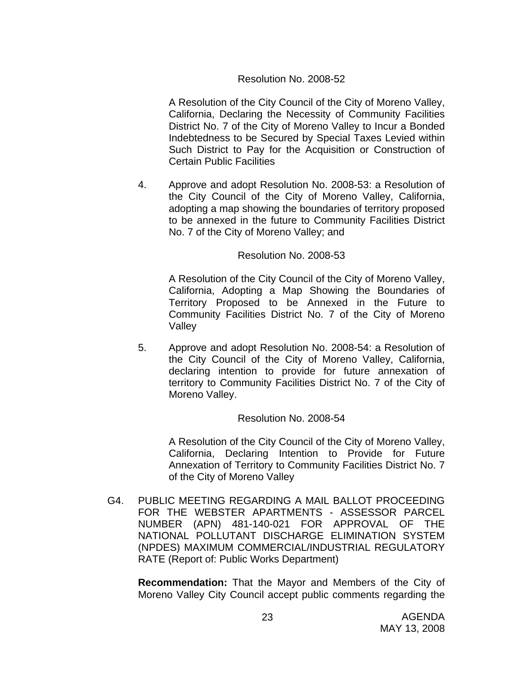## Resolution No. 2008-52

A Resolution of the City Council of the City of Moreno Valley, California, Declaring the Necessity of Community Facilities District No. 7 of the City of Moreno Valley to Incur a Bonded Indebtedness to be Secured by Special Taxes Levied within Such District to Pay for the Acquisition or Construction of Certain Public Facilities

4. Approve and adopt Resolution No. 2008-53: a Resolution of the City Council of the City of Moreno Valley, California, adopting a map showing the boundaries of territory proposed to be annexed in the future to Community Facilities District No. 7 of the City of Moreno Valley; and

#### Resolution No. 2008-53

A Resolution of the City Council of the City of Moreno Valley, California, Adopting a Map Showing the Boundaries of Territory Proposed to be Annexed in the Future to Community Facilities District No. 7 of the City of Moreno Valley

5. Approve and adopt Resolution No. 2008-54: a Resolution of the City Council of the City of Moreno Valley, California, declaring intention to provide for future annexation of territory to Community Facilities District No. 7 of the City of Moreno Valley.

#### Resolution No. 2008-54

A Resolution of the City Council of the City of Moreno Valley, California, Declaring Intention to Provide for Future Annexation of Territory to Community Facilities District No. 7 of the City of Moreno Valley

G4. PUBLIC MEETING REGARDING A MAIL BALLOT PROCEEDING FOR THE WEBSTER APARTMENTS - ASSESSOR PARCEL NUMBER (APN) 481-140-021 FOR APPROVAL OF THE NATIONAL POLLUTANT DISCHARGE ELIMINATION SYSTEM (NPDES) MAXIMUM COMMERCIAL/INDUSTRIAL REGULATORY RATE (Report of: Public Works Department)

**Recommendation:** That the Mayor and Members of the City of Moreno Valley City Council accept public comments regarding the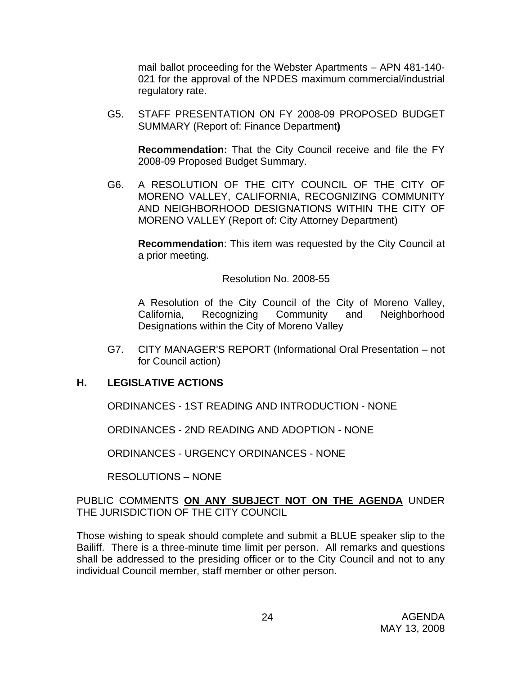mail ballot proceeding for the Webster Apartments – APN 481-140- 021 for the approval of the NPDES maximum commercial/industrial regulatory rate.

G5. STAFF PRESENTATION ON FY 2008-09 PROPOSED BUDGET SUMMARY (Report of: Finance Department**)** 

**Recommendation:** That the City Council receive and file the FY 2008-09 Proposed Budget Summary.

G6. A RESOLUTION OF THE CITY COUNCIL OF THE CITY OF MORENO VALLEY, CALIFORNIA, RECOGNIZING COMMUNITY AND NEIGHBORHOOD DESIGNATIONS WITHIN THE CITY OF MORENO VALLEY (Report of: City Attorney Department)

**Recommendation**: This item was requested by the City Council at a prior meeting.

## Resolution No. 2008-55

 A Resolution of the City Council of the City of Moreno Valley, California, Recognizing Community and Neighborhood Designations within the City of Moreno Valley

G7. CITY MANAGER'S REPORT (Informational Oral Presentation – not for Council action)

## **H. LEGISLATIVE ACTIONS**

ORDINANCES - 1ST READING AND INTRODUCTION - NONE

ORDINANCES - 2ND READING AND ADOPTION - NONE

ORDINANCES - URGENCY ORDINANCES - NONE

RESOLUTIONS – NONE

## PUBLIC COMMENTS **ON ANY SUBJECT NOT ON THE AGENDA** UNDER THE JURISDICTION OF THE CITY COUNCIL

Those wishing to speak should complete and submit a BLUE speaker slip to the Bailiff. There is a three-minute time limit per person. All remarks and questions shall be addressed to the presiding officer or to the City Council and not to any individual Council member, staff member or other person.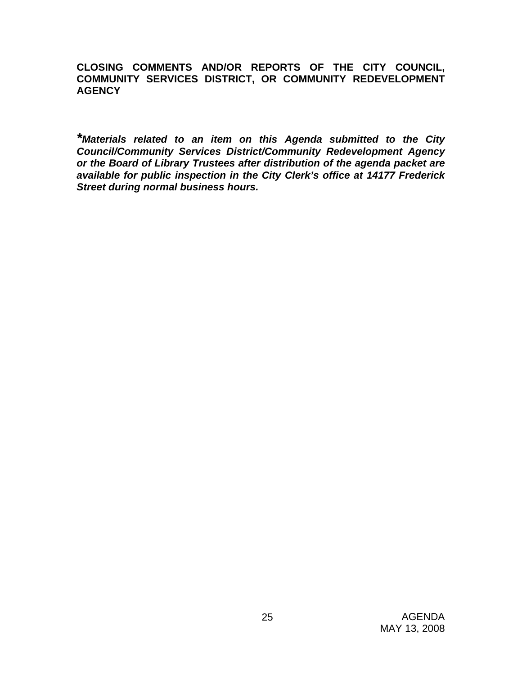**CLOSING COMMENTS AND/OR REPORTS OF THE CITY COUNCIL, COMMUNITY SERVICES DISTRICT, OR COMMUNITY REDEVELOPMENT AGENCY** 

*\*Materials related to an item on this Agenda submitted to the City Council/Community Services District/Community Redevelopment Agency or the Board of Library Trustees after distribution of the agenda packet are available for public inspection in the City Clerk's office at 14177 Frederick Street during normal business hours.*